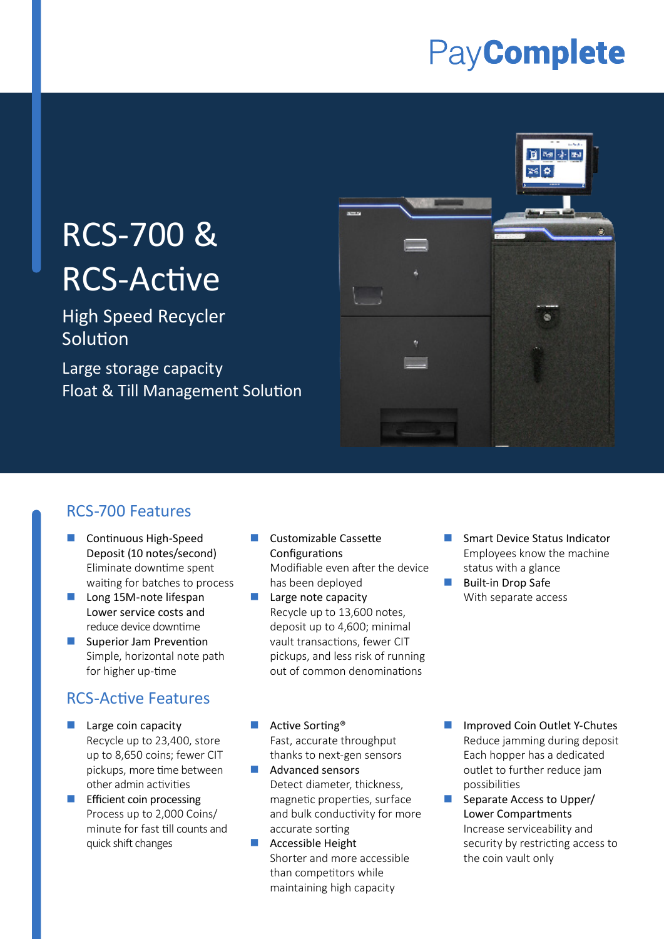## PayComplete

# RCS-700 & RCS-Active

High Speed Recycler Solution

Large storage capacity Float & Till Management Solution



#### RCS-700 Features

- **Continuous High-Speed** Deposit (10 notes/second) Eliminate downtime spent waiting for batches to process
- Long 15M-note lifespan Lower service costs and reduce device downtime
- Superior Jam Prevention Simple, horizontal note path for higher up-time

#### RCS-Active Features

- **Large coin capacity** Recycle up to 23,400, store up to 8,650 coins; fewer CIT pickups, more time between other admin activities
- **E** Efficient coin processing Process up to 2,000 Coins/ minute for fast till counts and quick shift changes
- **Customizable Cassette** Configurations Modifiable even after the device has been deployed
- **Large note capacity** Recycle up to 13,600 notes, deposit up to 4,600; minimal vault transactions, fewer CIT pickups, and less risk of running out of common denominations
- Smart Device Status Indicator Employees know the machine status with a glance
- Built-in Drop Safe With separate access

- Active Sorting® Fast, accurate throughput thanks to next-gen sensors
- Advanced sensors Detect diameter, thickness, magnetic properties, surface and bulk conductivity for more accurate sorting
- Accessible Height Shorter and more accessible than competitors while maintaining high capacity
- Improved Coin Outlet Y-Chutes Reduce jamming during deposit Each hopper has a dedicated outlet to further reduce jam possibilities
- Separate Access to Upper/ Lower Compartments Increase serviceability and security by restricting access to the coin vault only